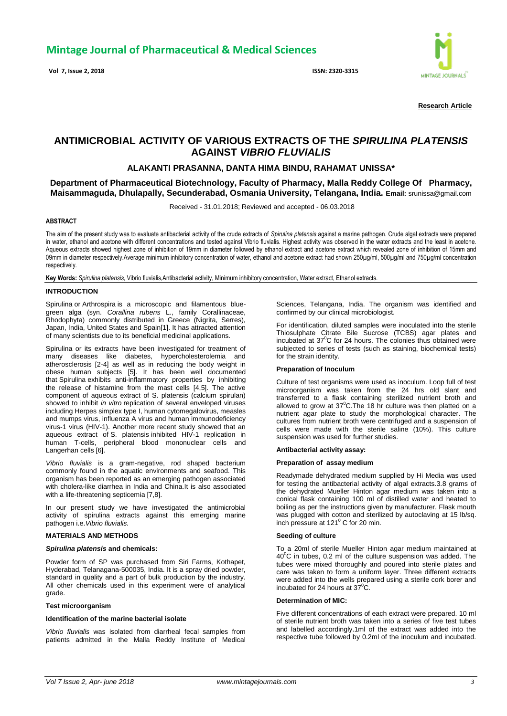**Vol 7, Issue 2, 2018 ISSN: 2320-3315**



**Research Article**

# **ANTIMICROBIAL ACTIVITY OF VARIOUS EXTRACTS OF THE** *SPIRULINA PLATENSIS* **AGAINST** *VIBRIO FLUVIALIS*

# **ALAKANTI PRASANNA, DANTA HIMA BINDU, RAHAMAT UNISSA\***

**Department of Pharmaceutical Biotechnology, Faculty of Pharmacy, Malla Reddy College Of Pharmacy, Maisammaguda, Dhulapally, Secunderabad, Osmania University, Telangana, India. Email:** srunissa@gmail.com

Received - 31.01.2018; Reviewed and accepted - 06.03.2018

# **ABSTRACT**

The aim of the present study was to evaluate antibacterial activity of the crude extracts of *Spirulina platensis* against a marine pathogen. Crude algal extracts were prepared in water, ethanol and acetone with different concentrations and tested against Vibrio fluvialis. Highest activity was observed in the water extracts and the least in acetone. Aqueous extracts showed highest zone of inhibition of 19mm in diameter followed by ethanol extract and acetone extract which revealed zone of inhibition of 15mm and 09mm in diameter respectively.Average minimum inhibitory concentration of water, ethanol and acetone extract had shown 250ug/ml, 500ug/ml and 750ug/ml concentration respectively.

**Key Words:** *Spirulina platensis*, Vibrio fluvialis,Antibacterial activity, Minimum inhibitory concentration, Water extract, Ethanol extracts.

#### **INTRODUCTION**

Spirulina or Arthrospira is a microscopic and filamentous bluegreen alga (syn. *Corallina rubens* L., family Corallinaceae, Rhodophyta) commonly distributed in Greece (Nigrita, Serres), Japan, India, United States and Spain[1]. It has attracted attention of many scientists due to its beneficial medicinal applications.

Spirulina or its extracts have been investigated for treatment of many diseases like diabetes, hypercholesterolemia and atherosclerosis [2-4] as well as in reducing the body weight in obese human subjects [5]. It has been well documented that Spirulina exhibits anti-inflammatory properties by inhibiting the release of histamine from the mast cells [4,5]. The active component of aqueous extract of S. platensis (calcium spirulan) showed to inhibit *in vitro* replication of several enveloped viruses including Herpes simplex type I, human cytomegalovirus, measles and mumps virus, influenza A virus and human immunodeficiency virus-1 virus (HIV-1). Another more recent study showed that an aqueous extract of S. platensis inhibited HIV-1 replication in human T-cells, peripheral blood mononuclear cells and Langerhan cells [6].

*Vibrio fluvialis* is a gram-negative, rod shaped bacterium commonly found in the aquatic environments and seafood. This organism has been reported as an emerging pathogen associated with cholera-like diarrhea in India and China.It is also associated with a life-threatening septicemia [7,8].

In our present study we have investigated the antimicrobial activity of spirulina extracts against this emerging marine pathogen i.e.*Vibrio fluvialis.*

# **MATERIALS AND METHODS**

# *Spirulina platensis* **and chemicals:**

Powder form of SP was purchased from Siri Farms, Kothapet, Hyderabad, Telanagana-500035, India. It is a spray dried powder, standard in quality and a part of bulk production by the industry. All other chemicals used in this experiment were of analytical grade.

#### **Test microorganism**

# **Identification of the marine bacterial isolate**

*Vibrio fluvialis* was isolated from diarrheal fecal samples from patients admitted in the Malla Reddy Institute of Medical Sciences, Telangana, India. The organism was identified and confirmed by our clinical microbiologist.

For identification, diluted samples were inoculated into the sterile Thiosulphate Citrate Bile Sucrose (TCBS) agar plates and incubated at  $37^{\circ}$ C for 24 hours. The colonies thus obtained were subjected to series of tests (such as staining, biochemical tests) for the strain identity.

#### **Preparation of Inoculum**

Culture of test organisms were used as inoculum. Loop full of test microorganism was taken from the 24 hrs old slant and transferred to a flask containing sterilized nutrient broth and allowed to grow at  $37^{\circ}$ C. The 18 hr culture was then platted on a nutrient agar plate to study the morphological character. The cultures from nutrient broth were centrifuged and a suspension of cells were made with the sterile saline (10%). This culture suspension was used for further studies.

#### **Antibacterial activity assay:**

# **Preparation of assay medium**

Readymade dehydrated medium supplied by Hi Media was used for testing the antibacterial activity of algal extracts.3.8 grams of the dehydrated Mueller Hinton agar medium was taken into a conical flask containing 100 ml of distilled water and heated to boiling as per the instructions given by manufacturer. Flask mouth was plugged with cotton and sterilized by autoclaving at 15 lb/sq. inch pressure at 121<sup>°</sup> C for 20 min.

#### **Seeding of culture**

To a 20ml of sterile Mueller Hinton agar medium maintained at  $40^{\circ}$ C in tubes, 0.2 ml of the culture suspension was added. The tubes were mixed thoroughly and poured into sterile plates and care was taken to form a uniform layer. Three different extracts were added into the wells prepared using a sterile cork borer and incubated for 24 hours at  $37^{\circ}$ C.

# **Determination of MIC:**

Five different concentrations of each extract were prepared. 10 ml of sterile nutrient broth was taken into a series of five test tubes and labelled accordingly.1ml of the extract was added into the respective tube followed by 0.2ml of the inoculum and incubated.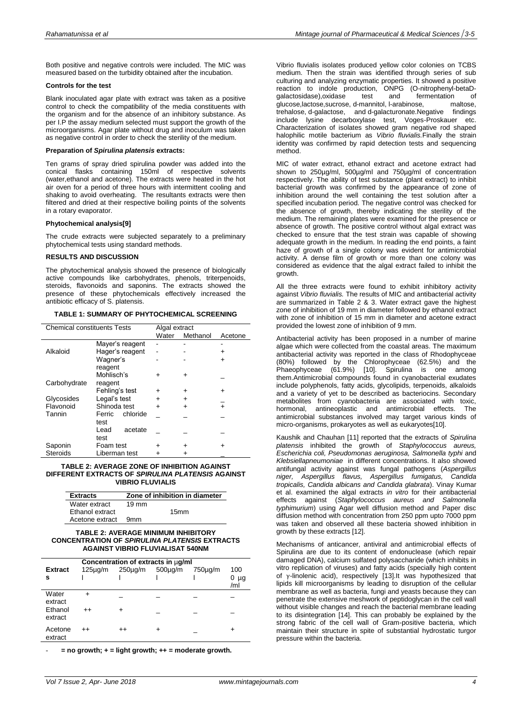Both positive and negative controls were included. The MIC was measured based on the turbidity obtained after the incubation.

# **Controls for the test**

Blank inoculated agar plate with extract was taken as a positive control to check the compatibility of the media constituents with the organism and for the absence of an inhibitory substance. As per I.P the assay medium selected must support the growth of the microorganisms. Agar plate without drug and inoculum was taken as negative control in order to check the sterility of the medium.

#### **Preparation of** *Spirulina platensis* **extracts:**

Ten grams of spray dried spirulina powder was added into the conical flasks containing 150ml of respective solvents (water,ethanol and acetone). The extracts were heated in the hot air oven for a period of three hours with intermittent cooling and shaking to avoid overheating. The resultants extracts were then filtered and dried at their respective boiling points of the solvents in a rotary evaporator.

#### **Phytochemical analysis[9]**

The crude extracts were subjected separately to a preliminary phytochemical tests using standard methods.

#### **RESULTS AND DISCUSSION**

The phytochemical analysis showed the presence of biologically active compounds like carbohydrates, phenols, triterpenoids, steroids, flavonoids and saponins. The extracts showed the presence of these phytochemicals effectively increased the antibiotic efficacy of S. platensis.

|  |  |  | TABLE 1: SUMMARY OF PHYTOCHEMICAL SCREENING |  |
|--|--|--|---------------------------------------------|--|
|--|--|--|---------------------------------------------|--|

| <b>Chemical constituents Tests</b> | Algal extract      |           |          |           |
|------------------------------------|--------------------|-----------|----------|-----------|
|                                    |                    | Water     | Methanol | Acetone   |
|                                    | Mayer's reagent    |           |          |           |
| Alkaloid                           | Hager's reagent    |           |          | ٠         |
|                                    | Wagner's           |           |          | ٠         |
|                                    | reagent            |           |          |           |
|                                    | Mohlisch's         | +         | +        |           |
| Carbohydrate                       | reagent            |           |          |           |
|                                    | Fehling's test     | +         | +        | ٠         |
| Glycosides                         | Legal's test       | $\div$    | +        |           |
| Flavonoid                          | Shinoda test       | $\ddot{}$ | +        | $\ddot{}$ |
| Tannin                             | chloride<br>Ferric |           |          |           |
|                                    | test               |           |          |           |
|                                    | Lead<br>acetate    |           |          |           |
|                                    | test               |           |          |           |
| Saponin                            | Foam test          |           |          |           |
| <b>Steroids</b>                    | Liberman test      |           |          |           |

#### **TABLE 2: AVERAGE ZONE OF INHIBITION AGAINST DIFFERENT EXTRACTS OF** *SPIRULINA PLATENSIS* **AGAINST VIBRIO FLUVIALIS**

| <b>Extracts</b> | Zone of inhibition in diameter |  |  |  |
|-----------------|--------------------------------|--|--|--|
| Water extract   | $19 \text{ mm}$                |  |  |  |
| Ethanol extract | 15 <sub>mm</sub>               |  |  |  |
| Acetone extract | 9 <sub>mm</sub>                |  |  |  |

#### **TABLE 2: AVERAGE MINIMUM INHIBITORY CONCENTRATION OF** *SPIRULINA PLATENSIS* **EXTRACTS AGAINST VIBRIO FLUVIALISAT 540NM**

| Concentration of extracts in $\mu$ g/ml |                     |                 |                      |         |                         |  |  |
|-----------------------------------------|---------------------|-----------------|----------------------|---------|-------------------------|--|--|
| <b>Extract</b><br>s                     | 125 <sub>µq/m</sub> | $250\mu$ g/m    | 500 <sub>µ</sub> q/m | 750µg/m | 100<br>$0 \mu$ g<br>/ml |  |  |
| Water<br>extract                        | +                   |                 |                      |         |                         |  |  |
| Fthanol<br>extract                      | $++$                | ۰               |                      |         |                         |  |  |
| Acetone<br>extract                      | $^{++}$             | $^{\mathrm{+}}$ |                      |         | ٠                       |  |  |

 $=$  no growth;  $+$  = light growth;  $++$  = moderate growth.

Vibrio fluvialis isolates produced yellow color colonies on TCBS medium. Then the strain was identified through series of sub culturing and analyzing enzymatic properties. It showed a positive reaction to indole production, ONPG (O-nitrophenyl-betaDgalactosidase),oxidase test and fermentation of glucose,lactose,sucrose, d-mannitol, l-arabinose, maltose, trehalose, d-galactose, and d-galacturonate.Negative findings include lysine decarboxylase test, Voges-Proskauer etc. Characterization of isolates showed gram negative rod shaped halophilic motile bacterium as *Vibrio fluvialis.*Finally the strain identity was confirmed by rapid detection tests and sequencing method.

MIC of water extract, ethanol extract and acetone extract had shown to 250µg/ml, 500µg/ml and 750µg/ml of concentration respectively. The ability of test substance (plant extract) to inhibit bacterial growth was confirmed by the appearance of zone of inhibition around the well containing the test solution after a specified incubation period. The negative control was checked for the absence of growth, thereby indicating the sterility of the medium. The remaining plates were examined for the presence or absence of growth. The positive control without algal extract was checked to ensure that the test strain was capable of showing adequate growth in the medium. In reading the end points, a faint haze of growth of a single colony was evident for antimicrobial activity. A dense film of growth or more than one colony was considered as evidence that the algal extract failed to inhibit the growth.

All the three extracts were found to exhibit inhibitory activity against *Vibrio fluvialis.* The results of MIC and antibacterial activity are summarized in Table 2 & 3. Water extract gave the highest zone of inhibition of 19 mm in diameter followed by ethanol extract with zone of inhibition of 15 mm in diameter and acetone extract provided the lowest zone of inhibition of 9 mm.

Antibacterial activity has been proposed in a number of marine algae which were collected from the coastal areas. The maximum antibacterial activity was reported in the class of Rhodophyceae (80%) followed by the Chlorophyceae (62.5%) and the Phaeophyceae (61.9%) [10]. Spirulina is one among them.Antimicrobial compounds found in cyanobacterial exudates include polyphenols, fatty acids, glycolipids, terpenoids, alkaloids and a variety of yet to be described as bacteriocins. Secondary metabolites from cyanobacteria are associated with toxic, hormonal, antineoplastic and antimicrobial effects. The antimicrobial substances involved may target various kinds of micro-organisms, prokaryotes as well as eukaryotes[10].

Kaushik and Chauhan [11] reported that the extracts of *Spirulina platensis* inhibited the growth of *Staphylococcus aureus, Escherichia coli, Pseudomonas aeruginosa, Salmonella typhi* and *Klebsiellapneumoniae* in different concentrations. It also showed antifungal activity against was fungal pathogens (*Aspergillus niger, Aspergillus flavus, Aspergillus fumigatus, Candida tropicalis, Candida albicans and Candida glabrata*). Vinay Kumar et al. examined the algal extracts *in vitro* for their antibacterial effects against (*Staphylococcus aureus and Salmonella typhimurium*) using Agar well diffusion method and Paper disc diffusion method with concentration from 250 ppm upto 7000 ppm was taken and observed all these bacteria showed inhibition in growth by these extracts [12].

Mechanisms of anticancer, antiviral and antimicrobial effects of Spirulina are due to its content of endonuclease (which repair damaged DNA), calcium sulfated polysaccharide (which inhibits in vitro replication of viruses) and fatty acids (specially high content of γ-linolenic acid), respectively [13].It was hypothesized that lipids kill microorganisms by leading to disruption of the cellular membrane as well as bacteria, fungi and yeasts because they can penetrate the extensive meshwork of peptidoglycan in the cell wall without visible changes and reach the bacterial membrane leading to its disintegration [14]. This can probably be explained by the strong fabric of the cell wall of Gram-positive bacteria, which maintain their structure in spite of substantial hydrostatic turgor pressure within the bacteria.